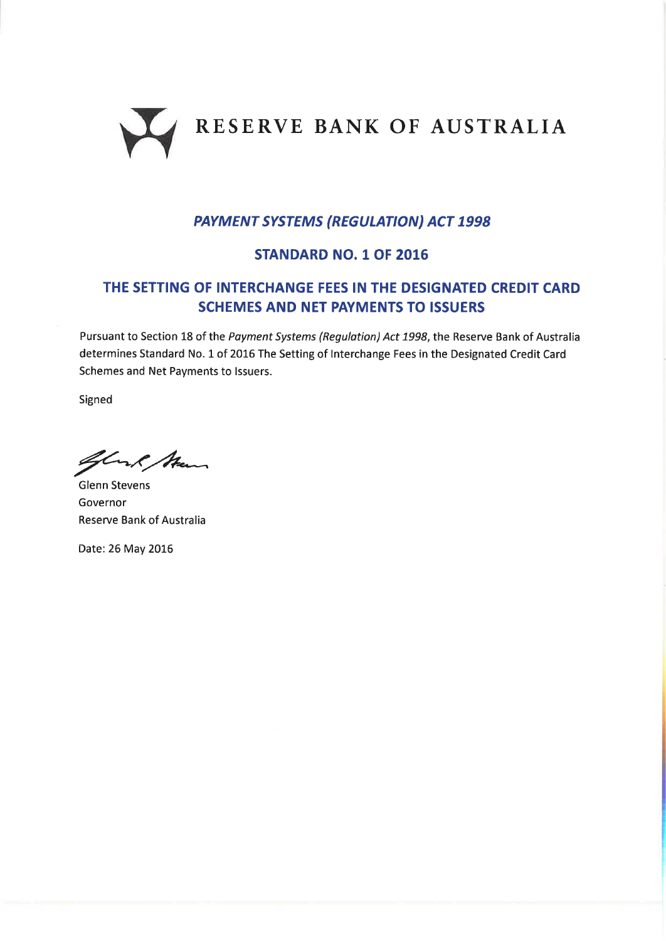

## PAYMENT SYSTEMS (REGULATION) ACT 1998

### STANDARD NO. 1 OF 2016

# THE SETTING OF INTERCHANGE FEES IN THE DESIGNATED CREDIT CARD SCHEMES AND NET PAYMENTS TO ISSUERS

Pursuant to Section 18 of the Payment Systems (Regulation) Act 1998, the Reserve Bank of Australia determines Standard No. 1 of 2016 The Setting of Interchange Fees in the Designated Credit Card Schemes and Net Payments to lssuers.

Signed

Glank Man

Glenn Stevens Governor Reserve Bank of Australia

Date: 26 May 2016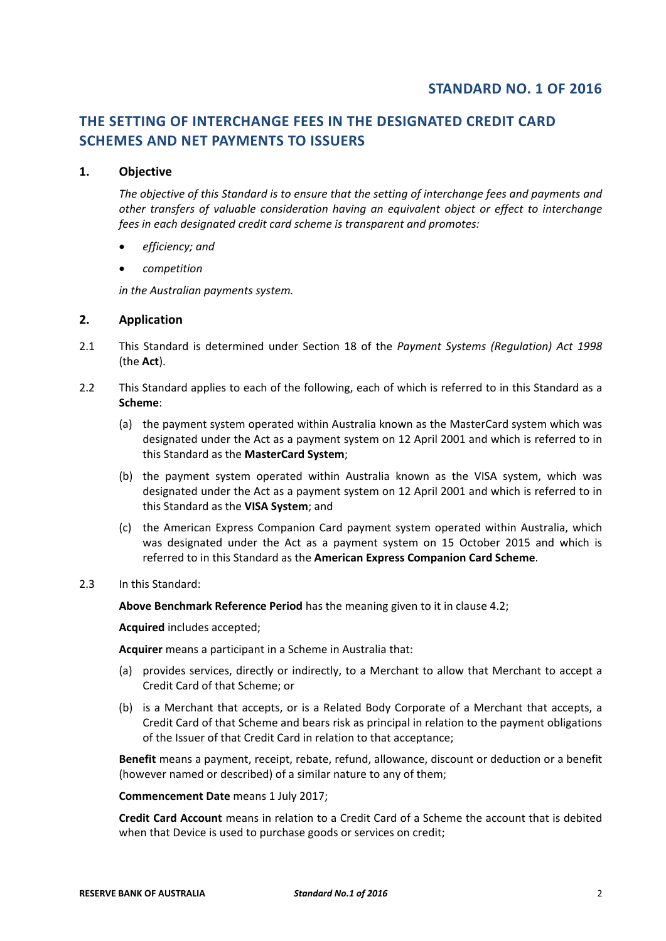## **THE SETTING OF INTERCHANGE FEES IN THE DESIGNATED CREDIT CARD SCHEMES AND NET PAYMENTS TO ISSUERS**

#### **1. Objective**

*The objective of this Standard is to ensure that the setting of interchange fees and payments and other transfers of valuable consideration having an equivalent object or effect to interchange fees in each designated credit card scheme is transparent and promotes:*

- *efficiency; and*
- *competition*

*in the Australian payments system.* 

#### **2. Application**

- 2.1 This Standard is determined under Section 18 of the *Payment Systems (Regulation) Act 1998* (the **Act**).
- 2.2 This Standard applies to each of the following, each of which is referred to in this Standard as a **Scheme**:
	- (a) the payment system operated within Australia known as the MasterCard system which was designated under the Act as a payment system on 12 April 2001 and which is referred to in this Standard as the **MasterCard System**;
	- (b) the payment system operated within Australia known as the VISA system, which was designated under the Act as a payment system on 12 April 2001 and which is referred to in this Standard as the **VISA System**; and
	- (c) the American Express Companion Card payment system operated within Australia, which was designated under the Act as a payment system on 15 October 2015 and which is referred to in this Standard as the **American Express Companion Card Scheme**.
- 2.3 In this Standard:

**Above Benchmark Reference Period** has the meaning given to it in clause 4.2;

**Acquired** includes accepted;

**Acquirer** means a participant in a Scheme in Australia that:

- (a) provides services, directly or indirectly, to a Merchant to allow that Merchant to accept a Credit Card of that Scheme; or
- (b) is a Merchant that accepts, or is a Related Body Corporate of a Merchant that accepts, a Credit Card of that Scheme and bears risk as principal in relation to the payment obligations of the Issuer of that Credit Card in relation to that acceptance;

**Benefit** means a payment, receipt, rebate, refund, allowance, discount or deduction or a benefit (however named or described) of a similar nature to any of them;

**Commencement Date** means 1 July 2017;

**Credit Card Account** means in relation to a Credit Card of a Scheme the account that is debited when that Device is used to purchase goods or services on credit;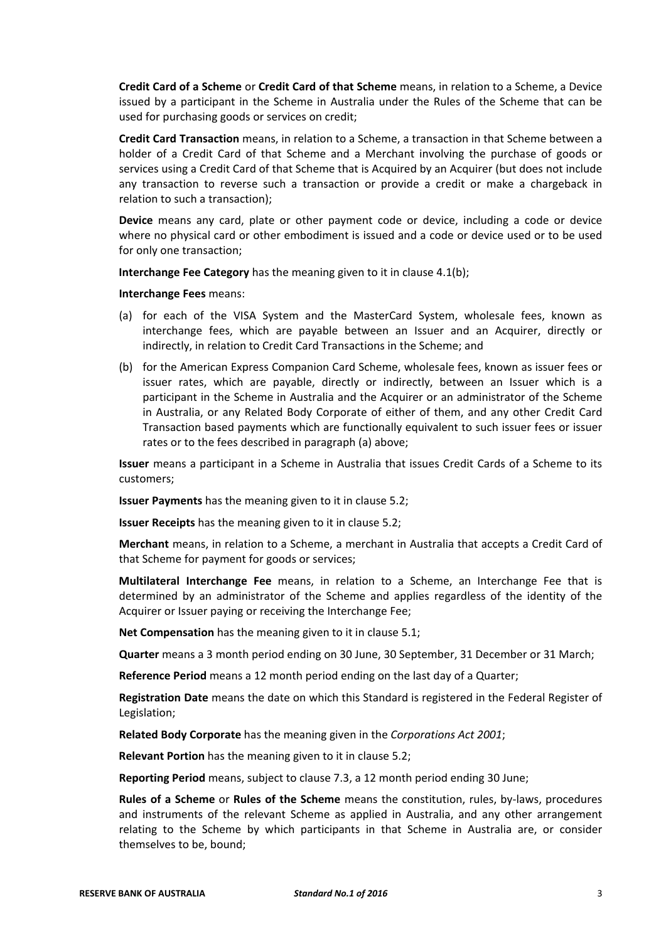**Credit Card of a Scheme** or **Credit Card of that Scheme** means, in relation to a Scheme, a Device issued by a participant in the Scheme in Australia under the Rules of the Scheme that can be used for purchasing goods or services on credit;

**Credit Card Transaction** means, in relation to a Scheme, a transaction in that Scheme between a holder of a Credit Card of that Scheme and a Merchant involving the purchase of goods or services using a Credit Card of that Scheme that is Acquired by an Acquirer (but does not include any transaction to reverse such a transaction or provide a credit or make a chargeback in relation to such a transaction);

**Device** means any card, plate or other payment code or device, including a code or device where no physical card or other embodiment is issued and a code or device used or to be used for only one transaction;

**Interchange Fee Category** has the meaning given to it in clause 4.1(b);

**Interchange Fees** means:

- (a) for each of the VISA System and the MasterCard System, wholesale fees, known as interchange fees, which are payable between an Issuer and an Acquirer, directly or indirectly, in relation to Credit Card Transactions in the Scheme; and
- (b) for the American Express Companion Card Scheme, wholesale fees, known as issuer fees or issuer rates, which are payable, directly or indirectly, between an Issuer which is a participant in the Scheme in Australia and the Acquirer or an administrator of the Scheme in Australia, or any Related Body Corporate of either of them, and any other Credit Card Transaction based payments which are functionally equivalent to such issuer fees or issuer rates or to the fees described in paragraph (a) above;

**Issuer** means a participant in a Scheme in Australia that issues Credit Cards of a Scheme to its customers;

**Issuer Payments** has the meaning given to it in clause 5.2;

**Issuer Receipts** has the meaning given to it in clause 5.2;

**Merchant** means, in relation to a Scheme, a merchant in Australia that accepts a Credit Card of that Scheme for payment for goods or services;

**Multilateral Interchange Fee** means, in relation to a Scheme, an Interchange Fee that is determined by an administrator of the Scheme and applies regardless of the identity of the Acquirer or Issuer paying or receiving the Interchange Fee;

**Net Compensation** has the meaning given to it in clause 5.1;

**Quarter** means a 3 month period ending on 30 June, 30 September, 31 December or 31 March;

**Reference Period** means a 12 month period ending on the last day of a Quarter;

**Registration Date** means the date on which this Standard is registered in the Federal Register of Legislation;

**Related Body Corporate** has the meaning given in the *Corporations Act 2001*;

**Relevant Portion** has the meaning given to it in clause 5.2;

**Reporting Period** means, subject to clause 7.3, a 12 month period ending 30 June;

**Rules of a Scheme** or **Rules of the Scheme** means the constitution, rules, by‐laws, procedures and instruments of the relevant Scheme as applied in Australia, and any other arrangement relating to the Scheme by which participants in that Scheme in Australia are, or consider themselves to be, bound;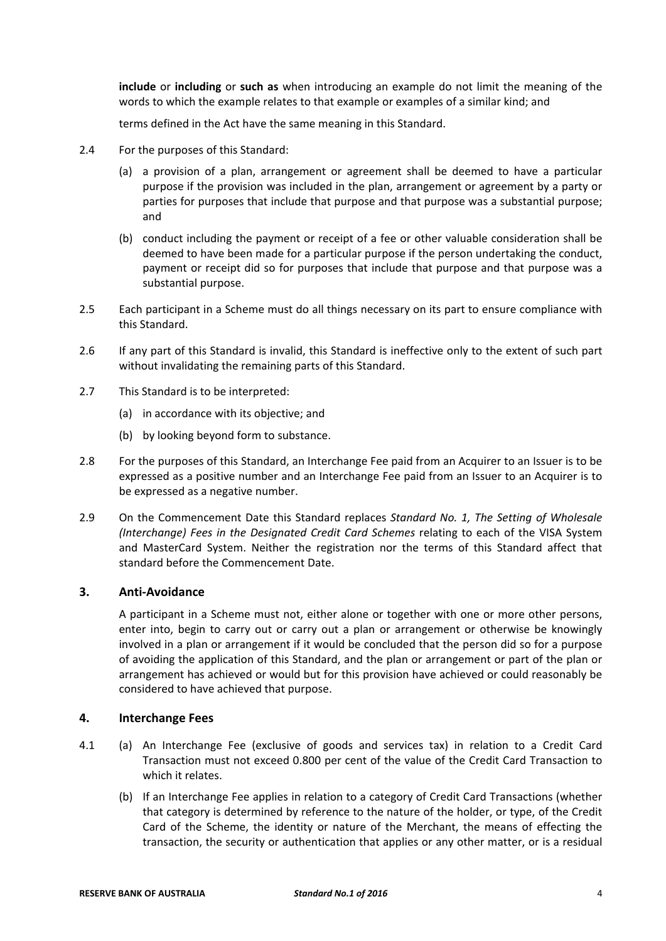**include** or **including** or **such as** when introducing an example do not limit the meaning of the words to which the example relates to that example or examples of a similar kind; and

terms defined in the Act have the same meaning in this Standard.

- 2.4 For the purposes of this Standard:
	- (a) a provision of a plan, arrangement or agreement shall be deemed to have a particular purpose if the provision was included in the plan, arrangement or agreement by a party or parties for purposes that include that purpose and that purpose was a substantial purpose; and
	- (b) conduct including the payment or receipt of a fee or other valuable consideration shall be deemed to have been made for a particular purpose if the person undertaking the conduct, payment or receipt did so for purposes that include that purpose and that purpose was a substantial purpose.
- 2.5 Each participant in a Scheme must do all things necessary on its part to ensure compliance with this Standard.
- 2.6 If any part of this Standard is invalid, this Standard is ineffective only to the extent of such part without invalidating the remaining parts of this Standard.
- 2.7 This Standard is to be interpreted:
	- (a) in accordance with its objective; and
	- (b) by looking beyond form to substance.
- 2.8 For the purposes of this Standard, an Interchange Fee paid from an Acquirer to an Issuer is to be expressed as a positive number and an Interchange Fee paid from an Issuer to an Acquirer is to be expressed as a negative number.
- 2.9 On the Commencement Date this Standard replaces *Standard No. 1, The Setting of Wholesale (Interchange) Fees in the Designated Credit Card Schemes* relating to each of the VISA System and MasterCard System. Neither the registration nor the terms of this Standard affect that standard before the Commencement Date.

#### **3. Anti‐Avoidance**

A participant in a Scheme must not, either alone or together with one or more other persons, enter into, begin to carry out or carry out a plan or arrangement or otherwise be knowingly involved in a plan or arrangement if it would be concluded that the person did so for a purpose of avoiding the application of this Standard, and the plan or arrangement or part of the plan or arrangement has achieved or would but for this provision have achieved or could reasonably be considered to have achieved that purpose.

#### **4. Interchange Fees**

- 4.1 (a) An Interchange Fee (exclusive of goods and services tax) in relation to a Credit Card Transaction must not exceed 0.800 per cent of the value of the Credit Card Transaction to which it relates.
	- (b) If an Interchange Fee applies in relation to a category of Credit Card Transactions (whether that category is determined by reference to the nature of the holder, or type, of the Credit Card of the Scheme, the identity or nature of the Merchant, the means of effecting the transaction, the security or authentication that applies or any other matter, or is a residual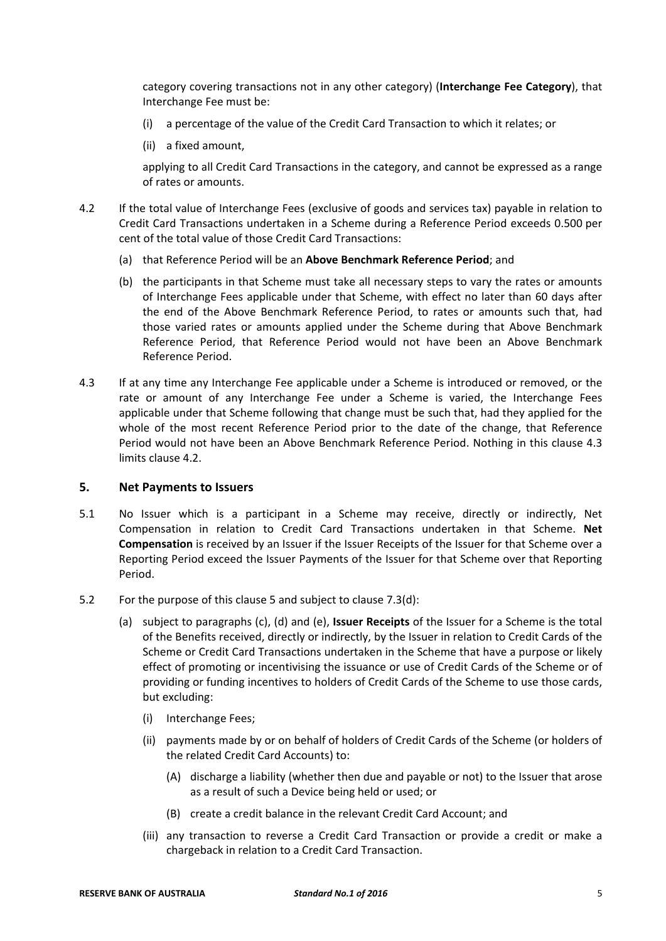category covering transactions not in any other category) (**Interchange Fee Category**), that Interchange Fee must be:

- (i) a percentage of the value of the Credit Card Transaction to which it relates; or
- (ii) a fixed amount,

applying to all Credit Card Transactions in the category, and cannot be expressed as a range of rates or amounts.

- 4.2 If the total value of Interchange Fees (exclusive of goods and services tax) payable in relation to Credit Card Transactions undertaken in a Scheme during a Reference Period exceeds 0.500 per cent of the total value of those Credit Card Transactions:
	- (a) that Reference Period will be an **Above Benchmark Reference Period**; and
	- (b) the participants in that Scheme must take all necessary steps to vary the rates or amounts of Interchange Fees applicable under that Scheme, with effect no later than 60 days after the end of the Above Benchmark Reference Period, to rates or amounts such that, had those varied rates or amounts applied under the Scheme during that Above Benchmark Reference Period, that Reference Period would not have been an Above Benchmark Reference Period.
- 4.3 If at any time any Interchange Fee applicable under a Scheme is introduced or removed, or the rate or amount of any Interchange Fee under a Scheme is varied, the Interchange Fees applicable under that Scheme following that change must be such that, had they applied for the whole of the most recent Reference Period prior to the date of the change, that Reference Period would not have been an Above Benchmark Reference Period. Nothing in this clause 4.3 limits clause 4.2.

#### **5. Net Payments to Issuers**

- 5.1 No Issuer which is a participant in a Scheme may receive, directly or indirectly, Net Compensation in relation to Credit Card Transactions undertaken in that Scheme. **Net Compensation** is received by an Issuer if the Issuer Receipts of the Issuer for that Scheme over a Reporting Period exceed the Issuer Payments of the Issuer for that Scheme over that Reporting Period.
- 5.2 For the purpose of this clause 5 and subject to clause 7.3(d):
	- (a) subject to paragraphs (c), (d) and (e), **Issuer Receipts** of the Issuer for a Scheme is the total of the Benefits received, directly or indirectly, by the Issuer in relation to Credit Cards of the Scheme or Credit Card Transactions undertaken in the Scheme that have a purpose or likely effect of promoting or incentivising the issuance or use of Credit Cards of the Scheme or of providing or funding incentives to holders of Credit Cards of the Scheme to use those cards, but excluding:
		- (i) Interchange Fees;
		- (ii) payments made by or on behalf of holders of Credit Cards of the Scheme (or holders of the related Credit Card Accounts) to:
			- (A) discharge a liability (whether then due and payable or not) to the Issuer that arose as a result of such a Device being held or used; or
			- (B) create a credit balance in the relevant Credit Card Account; and
		- (iii) any transaction to reverse a Credit Card Transaction or provide a credit or make a chargeback in relation to a Credit Card Transaction.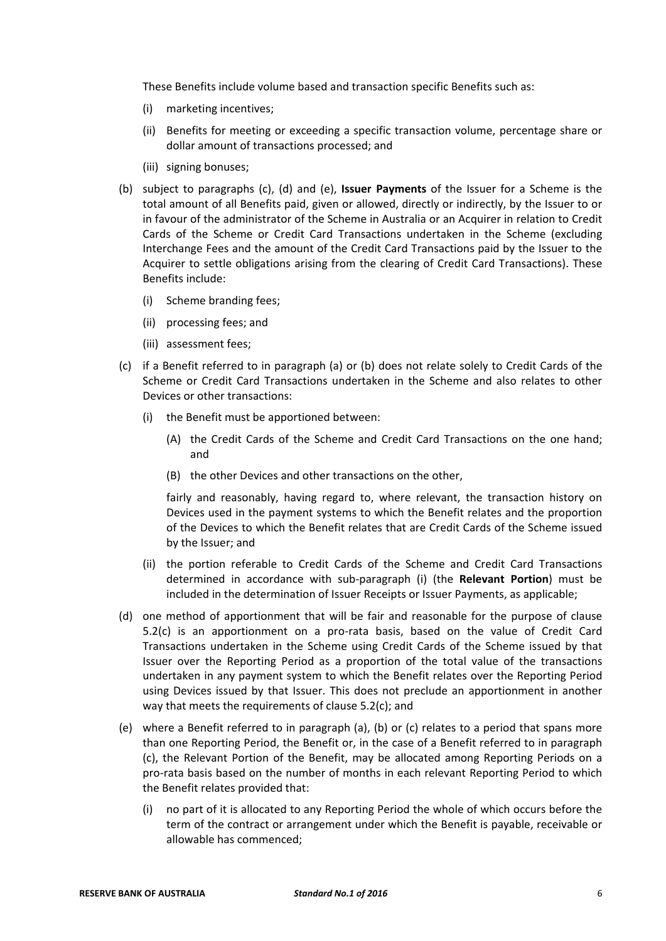These Benefits include volume based and transaction specific Benefits such as:

- (i) marketing incentives;
- (ii) Benefits for meeting or exceeding a specific transaction volume, percentage share or dollar amount of transactions processed; and
- (iii) signing bonuses;
- (b) subject to paragraphs (c), (d) and (e), **Issuer Payments** of the Issuer for a Scheme is the total amount of all Benefits paid, given or allowed, directly or indirectly, by the Issuer to or in favour of the administrator of the Scheme in Australia or an Acquirer in relation to Credit Cards of the Scheme or Credit Card Transactions undertaken in the Scheme (excluding Interchange Fees and the amount of the Credit Card Transactions paid by the Issuer to the Acquirer to settle obligations arising from the clearing of Credit Card Transactions). These Benefits include:
	- (i) Scheme branding fees;
	- (ii) processing fees; and
	- (iii) assessment fees;
- (c) if a Benefit referred to in paragraph (a) or (b) does not relate solely to Credit Cards of the Scheme or Credit Card Transactions undertaken in the Scheme and also relates to other Devices or other transactions:
	- (i) the Benefit must be apportioned between:
		- (A) the Credit Cards of the Scheme and Credit Card Transactions on the one hand; and
		- (B) the other Devices and other transactions on the other,

fairly and reasonably, having regard to, where relevant, the transaction history on Devices used in the payment systems to which the Benefit relates and the proportion of the Devices to which the Benefit relates that are Credit Cards of the Scheme issued by the Issuer; and

- (ii) the portion referable to Credit Cards of the Scheme and Credit Card Transactions determined in accordance with sub‐paragraph (i) (the **Relevant Portion**) must be included in the determination of Issuer Receipts or Issuer Payments, as applicable;
- (d) one method of apportionment that will be fair and reasonable for the purpose of clause 5.2(c) is an apportionment on a pro‐rata basis, based on the value of Credit Card Transactions undertaken in the Scheme using Credit Cards of the Scheme issued by that Issuer over the Reporting Period as a proportion of the total value of the transactions undertaken in any payment system to which the Benefit relates over the Reporting Period using Devices issued by that Issuer. This does not preclude an apportionment in another way that meets the requirements of clause 5.2(c); and
- (e) where a Benefit referred to in paragraph (a), (b) or (c) relates to a period that spans more than one Reporting Period, the Benefit or, in the case of a Benefit referred to in paragraph (c), the Relevant Portion of the Benefit, may be allocated among Reporting Periods on a pro‐rata basis based on the number of months in each relevant Reporting Period to which the Benefit relates provided that:
	- (i) no part of it is allocated to any Reporting Period the whole of which occurs before the term of the contract or arrangement under which the Benefit is payable, receivable or allowable has commenced;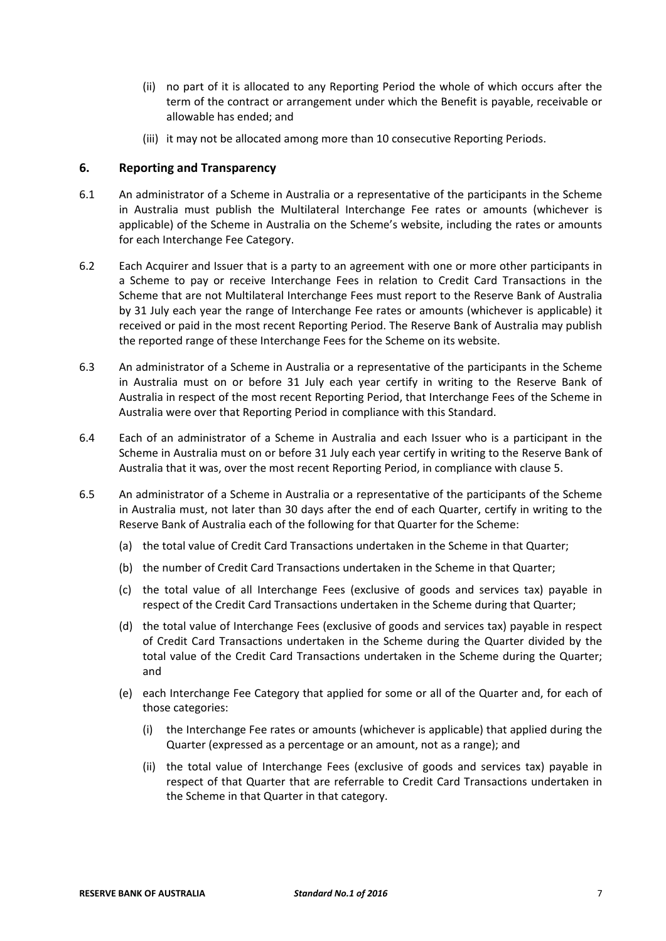- (ii) no part of it is allocated to any Reporting Period the whole of which occurs after the term of the contract or arrangement under which the Benefit is payable, receivable or allowable has ended; and
- (iii) it may not be allocated among more than 10 consecutive Reporting Periods.

#### **6. Reporting and Transparency**

- 6.1 An administrator of a Scheme in Australia or a representative of the participants in the Scheme in Australia must publish the Multilateral Interchange Fee rates or amounts (whichever is applicable) of the Scheme in Australia on the Scheme's website, including the rates or amounts for each Interchange Fee Category.
- 6.2 Each Acquirer and Issuer that is a party to an agreement with one or more other participants in a Scheme to pay or receive Interchange Fees in relation to Credit Card Transactions in the Scheme that are not Multilateral Interchange Fees must report to the Reserve Bank of Australia by 31 July each year the range of Interchange Fee rates or amounts (whichever is applicable) it received or paid in the most recent Reporting Period. The Reserve Bank of Australia may publish the reported range of these Interchange Fees for the Scheme on its website.
- 6.3 An administrator of a Scheme in Australia or a representative of the participants in the Scheme in Australia must on or before 31 July each year certify in writing to the Reserve Bank of Australia in respect of the most recent Reporting Period, that Interchange Fees of the Scheme in Australia were over that Reporting Period in compliance with this Standard.
- 6.4 Each of an administrator of a Scheme in Australia and each Issuer who is a participant in the Scheme in Australia must on or before 31 July each year certify in writing to the Reserve Bank of Australia that it was, over the most recent Reporting Period, in compliance with clause 5.
- 6.5 An administrator of a Scheme in Australia or a representative of the participants of the Scheme in Australia must, not later than 30 days after the end of each Quarter, certify in writing to the Reserve Bank of Australia each of the following for that Quarter for the Scheme:
	- (a) the total value of Credit Card Transactions undertaken in the Scheme in that Quarter;
	- (b) the number of Credit Card Transactions undertaken in the Scheme in that Quarter;
	- (c) the total value of all Interchange Fees (exclusive of goods and services tax) payable in respect of the Credit Card Transactions undertaken in the Scheme during that Quarter;
	- (d) the total value of Interchange Fees (exclusive of goods and services tax) payable in respect of Credit Card Transactions undertaken in the Scheme during the Quarter divided by the total value of the Credit Card Transactions undertaken in the Scheme during the Quarter; and
	- (e) each Interchange Fee Category that applied for some or all of the Quarter and, for each of those categories:
		- (i) the Interchange Fee rates or amounts (whichever is applicable) that applied during the Quarter (expressed as a percentage or an amount, not as a range); and
		- (ii) the total value of Interchange Fees (exclusive of goods and services tax) payable in respect of that Quarter that are referrable to Credit Card Transactions undertaken in the Scheme in that Quarter in that category.